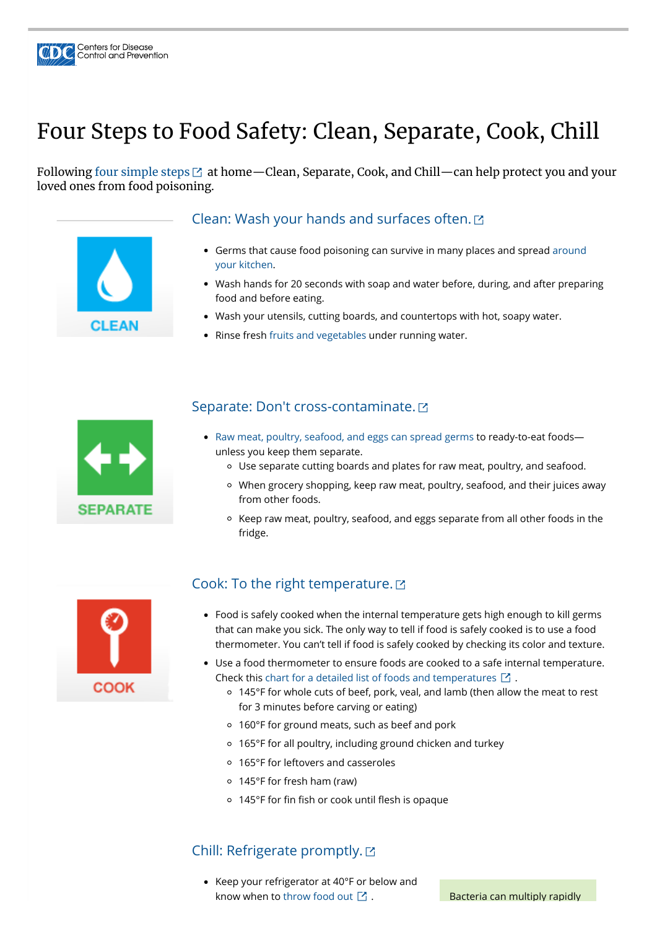# Four Steps to Food Safety: Clean, Separate, Cook, Chill

Following four [simple](https://www.foodsafety.gov/keep-food-safe/4-steps-to-food-safety) steps  $\boxtimes$  at home—Clean, Separate, Cook, and Chill—can help protect you and your loved ones from food poisoning.



Centers for Disease<br>Control and Prevention

- [Germs that cause food poisoning can survive in many places and spread around](https://www.cdc.gov/foodsafety/communication/gearup-food-safety.html) your kitchen.
- Wash hands for 20 seconds with soap and water before, during, and after preparing food and before eating.
- Wash your utensils, cutting boards, and countertops with hot, soapy water.
- Rinse fresh [fruits and vegetables](https://www.cdc.gov/foodsafety/communication/steps-healthy-fruits-veggies.html) under running water.



#### Clean: Wash your hands and [surfaces](https://www.foodsafety.gov/keep-food-safe/4-steps-to-food-safety#clean) often.

- [Raw meat, poultry, seafood, and eggs can spread germs](https://www.cdc.gov/foodsafety/foods-linked-illness.html) to ready-to-eat foodsunless you keep them separate.
	- Use separate cutting boards and plates for raw meat, poultry, and seafood.
	- When grocery shopping, keep raw meat, poultry, seafood, and their juices away from other foods.
	- Keep raw meat, poultry, seafood, and eggs separate from all other foods in the fridge.



- 160°F for ground meats, such as beef and pork
- 165°F for all poultry, including ground chicken and turkey
- 165°F for leftovers and casseroles
- 145°F for fresh ham (raw)
- $\circ$  145°F for fin fish or cook until flesh is opaque

## Separate: Don't [cross-contaminate.](https://www.foodsafety.gov/keep-food-safe/4-steps-to-food-safety#separate)

- Food is safely cooked when the internal temperature gets high enough to kill germs that can make you sick. The only way to tell if food is safely cooked is to use a food thermometer. You can't tell if food is safely cooked by checking its color and texture.
- Use a food thermometer to ensure foods are cooked to a safe internal temperature. Check this [chart for a detailed list of foods and temperatures](https://www.foodsafety.gov/food-safety-charts/safe-minimum-cooking-temperature)  $\boxtimes$  .
	- 145°F for whole cuts of beef, pork, veal, and lamb (then allow the meat to rest

## Cook: To the right [temperature.](https://www.foodsafety.gov/keep-food-safe/4-steps-to-food-safety#cook)

for 3 minutes before carving or eating)

#### Chill: [Refrigerate](https://www.foodsafety.gov/keep-food-safe/4-steps-to-food-safety#chill) promptly.

● Keep your refrigerator at 40°F or below and know when to [throw food out](https://www.foodsafety.gov/food-safety-charts/cold-food-storage-charts)  $\boxtimes$ .

Bacteria can multiply rapidly